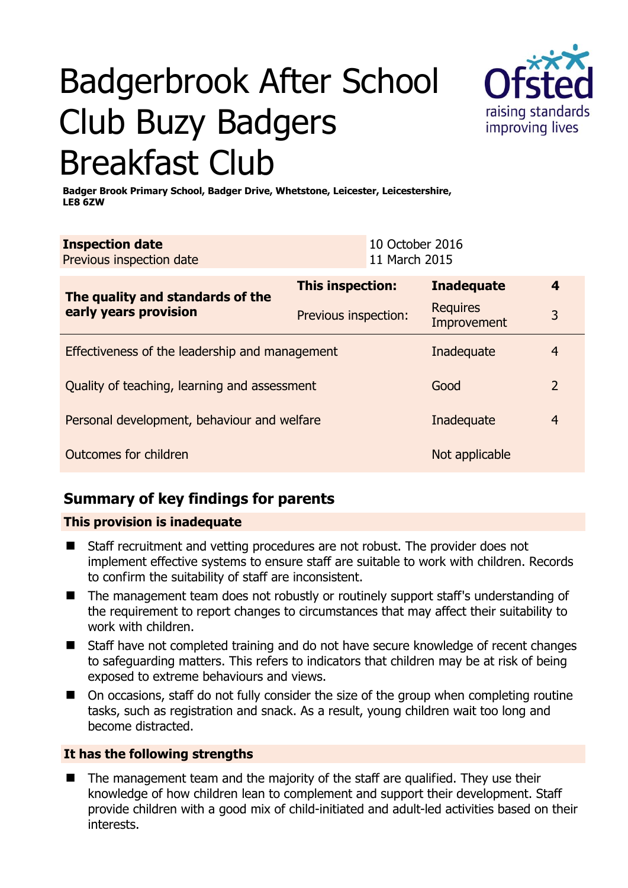# Badgerbrook After School Club Buzy Badgers Breakfast Club



**Badger Brook Primary School, Badger Drive, Whetstone, Leicester, Leicestershire, LE8 6ZW** 

| <b>Inspection date</b><br>Previous inspection date                     |                      | 10 October 2016<br>11 March 2015 |                                |                |
|------------------------------------------------------------------------|----------------------|----------------------------------|--------------------------------|----------------|
| The quality and standards of the                                       | This inspection:     |                                  | <b>Inadequate</b>              | 4              |
| early years provision                                                  | Previous inspection: |                                  | <b>Requires</b><br>Improvement | 3              |
| Effectiveness of the leadership and management                         | Inadequate           | 4                                |                                |                |
| Quality of teaching, learning and assessment<br>$\overline{2}$<br>Good |                      |                                  |                                |                |
| Personal development, behaviour and welfare                            |                      |                                  | Inadequate                     | $\overline{4}$ |
| Outcomes for children<br>Not applicable                                |                      |                                  |                                |                |

# **Summary of key findings for parents**

#### **This provision is inadequate**

- Staff recruitment and vetting procedures are not robust. The provider does not implement effective systems to ensure staff are suitable to work with children. Records to confirm the suitability of staff are inconsistent.
- The management team does not robustly or routinely support staff's understanding of the requirement to report changes to circumstances that may affect their suitability to work with children.
- Staff have not completed training and do not have secure knowledge of recent changes to safeguarding matters. This refers to indicators that children may be at risk of being exposed to extreme behaviours and views.
- On occasions, staff do not fully consider the size of the group when completing routine tasks, such as registration and snack. As a result, young children wait too long and become distracted.

#### **It has the following strengths**

 The management team and the majority of the staff are qualified. They use their knowledge of how children lean to complement and support their development. Staff provide children with a good mix of child-initiated and adult-led activities based on their interests.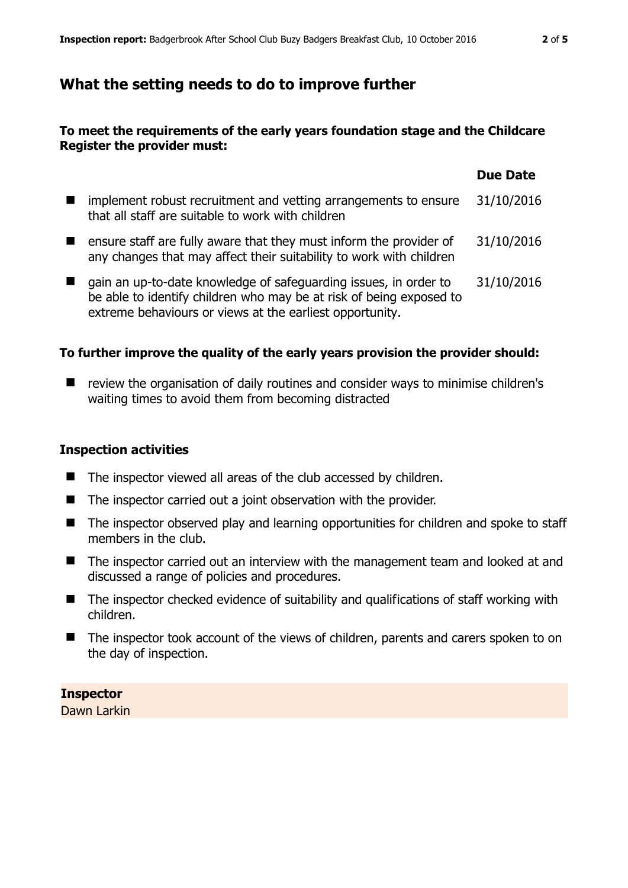## **What the setting needs to do to improve further**

#### **To meet the requirements of the early years foundation stage and the Childcare Register the provider must:**

|                                                                                                                                                                                                     | <b>Due Date</b> |
|-----------------------------------------------------------------------------------------------------------------------------------------------------------------------------------------------------|-----------------|
| implement robust recruitment and vetting arrangements to ensure<br>that all staff are suitable to work with children                                                                                | 31/10/2016      |
| ensure staff are fully aware that they must inform the provider of<br>any changes that may affect their suitability to work with children                                                           | 31/10/2016      |
| gain an up-to-date knowledge of safeguarding issues, in order to<br>be able to identify children who may be at risk of being exposed to<br>extreme behaviours or views at the earliest opportunity. | 31/10/2016      |

#### **To further improve the quality of the early years provision the provider should:**

■ review the organisation of daily routines and consider ways to minimise children's waiting times to avoid them from becoming distracted

#### **Inspection activities**

- The inspector viewed all areas of the club accessed by children.
- The inspector carried out a joint observation with the provider.
- The inspector observed play and learning opportunities for children and spoke to staff members in the club.
- The inspector carried out an interview with the management team and looked at and discussed a range of policies and procedures.
- The inspector checked evidence of suitability and qualifications of staff working with children.
- The inspector took account of the views of children, parents and carers spoken to on the day of inspection.

**Inspector**  Dawn Larkin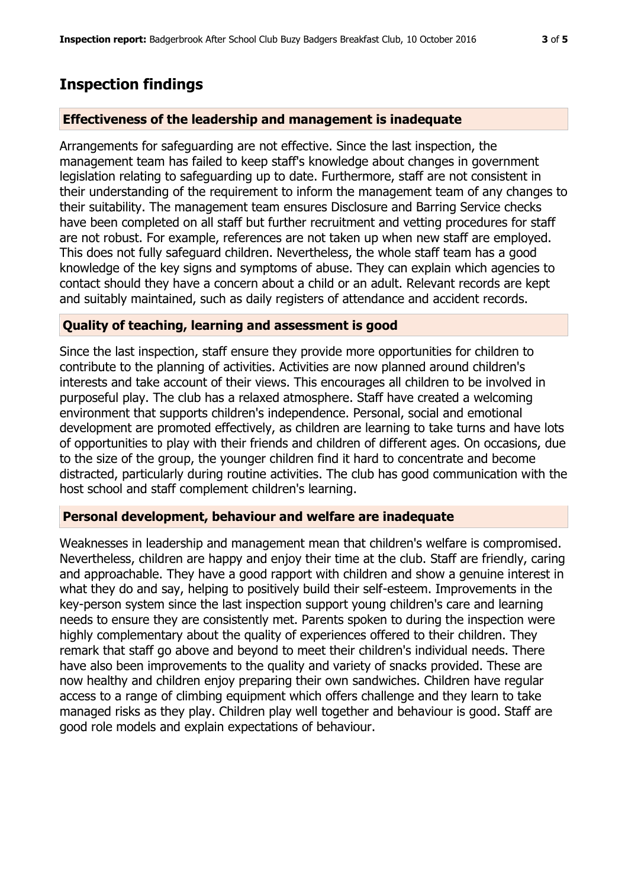## **Inspection findings**

#### **Effectiveness of the leadership and management is inadequate**

Arrangements for safeguarding are not effective. Since the last inspection, the management team has failed to keep staff's knowledge about changes in government legislation relating to safeguarding up to date. Furthermore, staff are not consistent in their understanding of the requirement to inform the management team of any changes to their suitability. The management team ensures Disclosure and Barring Service checks have been completed on all staff but further recruitment and vetting procedures for staff are not robust. For example, references are not taken up when new staff are employed. This does not fully safeguard children. Nevertheless, the whole staff team has a good knowledge of the key signs and symptoms of abuse. They can explain which agencies to contact should they have a concern about a child or an adult. Relevant records are kept and suitably maintained, such as daily registers of attendance and accident records.

#### **Quality of teaching, learning and assessment is good**

Since the last inspection, staff ensure they provide more opportunities for children to contribute to the planning of activities. Activities are now planned around children's interests and take account of their views. This encourages all children to be involved in purposeful play. The club has a relaxed atmosphere. Staff have created a welcoming environment that supports children's independence. Personal, social and emotional development are promoted effectively, as children are learning to take turns and have lots of opportunities to play with their friends and children of different ages. On occasions, due to the size of the group, the younger children find it hard to concentrate and become distracted, particularly during routine activities. The club has good communication with the host school and staff complement children's learning.

#### **Personal development, behaviour and welfare are inadequate**

Weaknesses in leadership and management mean that children's welfare is compromised. Nevertheless, children are happy and enjoy their time at the club. Staff are friendly, caring and approachable. They have a good rapport with children and show a genuine interest in what they do and say, helping to positively build their self-esteem. Improvements in the key-person system since the last inspection support young children's care and learning needs to ensure they are consistently met. Parents spoken to during the inspection were highly complementary about the quality of experiences offered to their children. They remark that staff go above and beyond to meet their children's individual needs. There have also been improvements to the quality and variety of snacks provided. These are now healthy and children enjoy preparing their own sandwiches. Children have regular access to a range of climbing equipment which offers challenge and they learn to take managed risks as they play. Children play well together and behaviour is good. Staff are good role models and explain expectations of behaviour.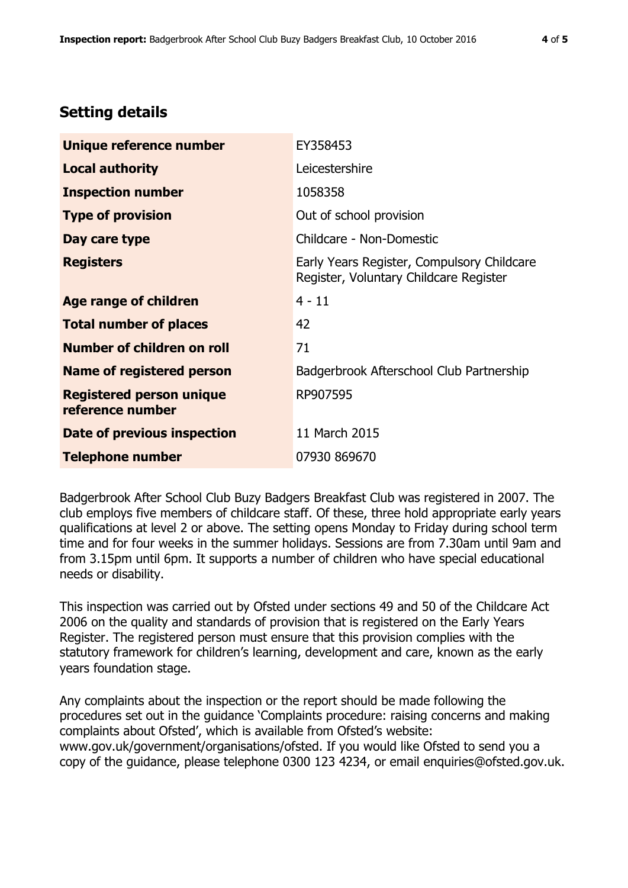## **Setting details**

| Unique reference number                             | EY358453                                                                             |
|-----------------------------------------------------|--------------------------------------------------------------------------------------|
| <b>Local authority</b>                              | Leicestershire                                                                       |
| <b>Inspection number</b>                            | 1058358                                                                              |
| <b>Type of provision</b>                            | Out of school provision                                                              |
| Day care type                                       | Childcare - Non-Domestic                                                             |
| <b>Registers</b>                                    | Early Years Register, Compulsory Childcare<br>Register, Voluntary Childcare Register |
| Age range of children                               | $4 - 11$                                                                             |
| <b>Total number of places</b>                       | 42                                                                                   |
| Number of children on roll                          | 71                                                                                   |
| Name of registered person                           | Badgerbrook Afterschool Club Partnership                                             |
| <b>Registered person unique</b><br>reference number | RP907595                                                                             |
| <b>Date of previous inspection</b>                  | 11 March 2015                                                                        |
| <b>Telephone number</b>                             | 07930 869670                                                                         |

Badgerbrook After School Club Buzy Badgers Breakfast Club was registered in 2007. The club employs five members of childcare staff. Of these, three hold appropriate early years qualifications at level 2 or above. The setting opens Monday to Friday during school term time and for four weeks in the summer holidays. Sessions are from 7.30am until 9am and from 3.15pm until 6pm. It supports a number of children who have special educational needs or disability.

This inspection was carried out by Ofsted under sections 49 and 50 of the Childcare Act 2006 on the quality and standards of provision that is registered on the Early Years Register. The registered person must ensure that this provision complies with the statutory framework for children's learning, development and care, known as the early years foundation stage.

Any complaints about the inspection or the report should be made following the procedures set out in the guidance 'Complaints procedure: raising concerns and making complaints about Ofsted', which is available from Ofsted's website: www.gov.uk/government/organisations/ofsted. If you would like Ofsted to send you a copy of the guidance, please telephone 0300 123 4234, or email enquiries@ofsted.gov.uk.